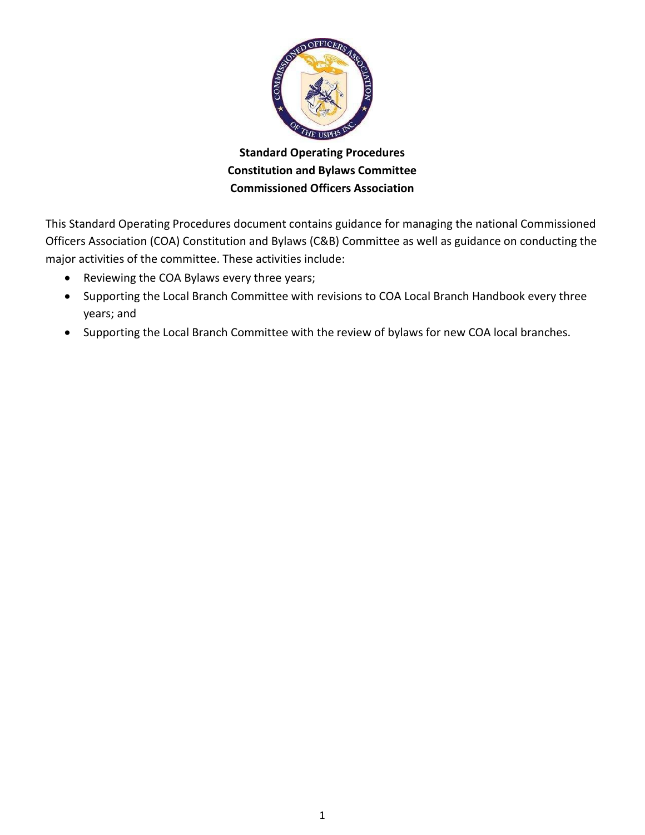

**Standard Operating Procedures Constitution and Bylaws Committee Commissioned Officers Association** 

This Standard Operating Procedures document contains guidance for managing the national Commissioned Officers Association (COA) Constitution and Bylaws (C&B) Committee as well as guidance on conducting the major activities of the committee. These activities include:

- Reviewing the COA Bylaws every three years;
- Supporting the Local Branch Committee with revisions to COA Local Branch Handbook every three years; and
- Supporting the Local Branch Committee with the review of bylaws for new COA local branches.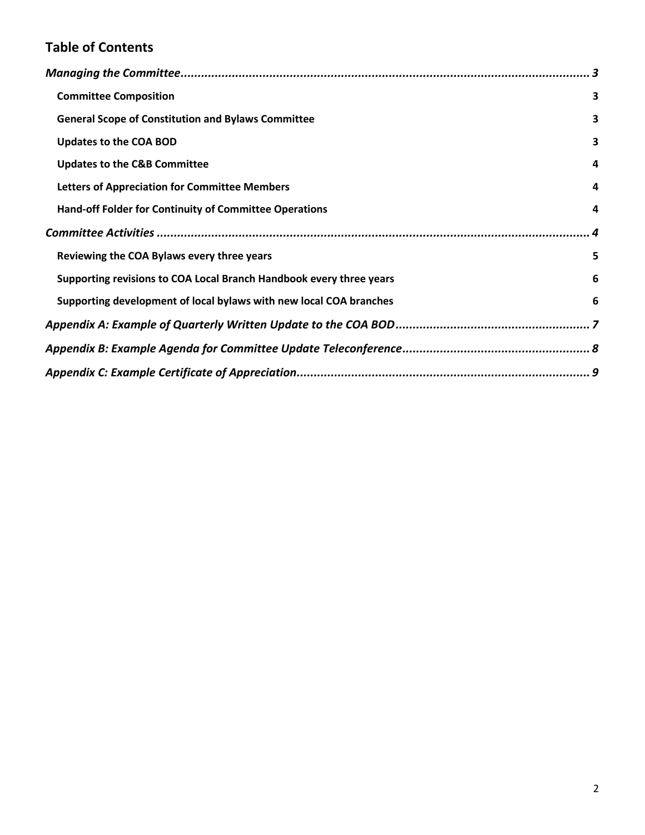# **Table of Contents**

| <b>Committee Composition</b>                                        | $\overline{\mathbf{3}}$ |
|---------------------------------------------------------------------|-------------------------|
| <b>General Scope of Constitution and Bylaws Committee</b>           | 3                       |
| <b>Updates to the COA BOD</b>                                       | 3                       |
| <b>Updates to the C&amp;B Committee</b>                             | 4                       |
| <b>Letters of Appreciation for Committee Members</b>                | 4                       |
| Hand-off Folder for Continuity of Committee Operations              | 4                       |
|                                                                     | $\overline{\mathbf{4}}$ |
| Reviewing the COA Bylaws every three years                          | 5                       |
| Supporting revisions to COA Local Branch Handbook every three years | 6                       |
| Supporting development of local bylaws with new local COA branches  | 6                       |
|                                                                     |                         |
|                                                                     |                         |
|                                                                     |                         |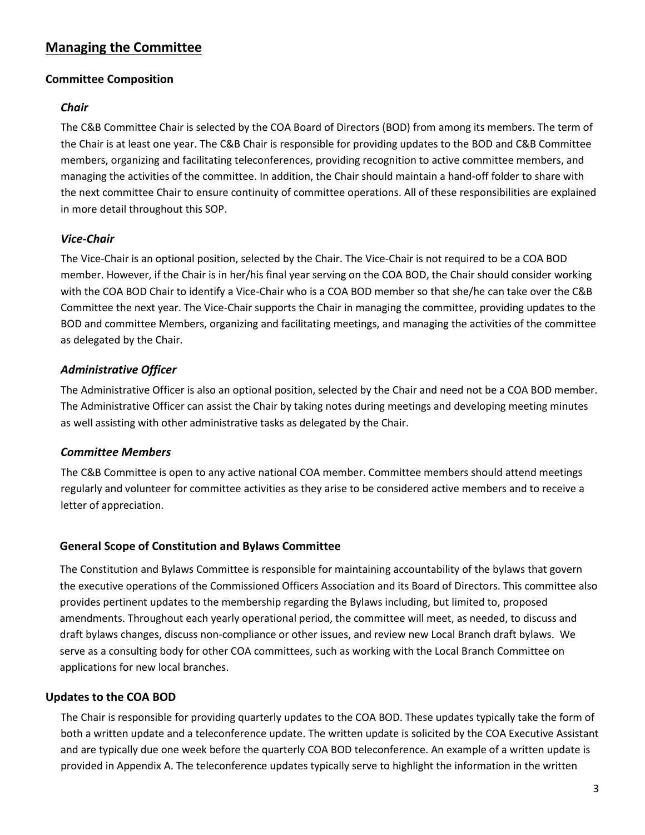## <span id="page-2-0"></span>**Managing the Committee**

## <span id="page-2-1"></span>**Committee Composition**

## *Chair*

The C&B Committee Chair is selected by the COA Board of Directors (BOD) from among its members. The term of the Chair is at least one year. The C&B Chair is responsible for providing updates to the BOD and C&B Committee members, organizing and facilitating teleconferences, providing recognition to active committee members, and managing the activities of the committee. In addition, the Chair should maintain a hand-off folder to share with the next committee Chair to ensure continuity of committee operations. All of these responsibilities are explained in more detail throughout this SOP.

## *Vice-Chair*

The Vice-Chair is an optional position, selected by the Chair. The Vice-Chair is not required to be a COA BOD member. However, if the Chair is in her/his final year serving on the COA BOD, the Chair should consider working with the COA BOD Chair to identify a Vice-Chair who is a COA BOD member so that she/he can take over the C&B Committee the next year. The Vice-Chair supports the Chair in managing the committee, providing updates to the BOD and committee Members, organizing and facilitating meetings, and managing the activities of the committee as delegated by the Chair.

## *Administrative Officer*

The Administrative Officer is also an optional position, selected by the Chair and need not be a COA BOD member. The Administrative Officer can assist the Chair by taking notes during meetings and developing meeting minutes as well assisting with other administrative tasks as delegated by the Chair.

## *Committee Members*

The C&B Committee is open to any active national COA member. Committee members should attend meetings regularly and volunteer for committee activities as they arise to be considered active members and to receive a letter of appreciation.

## <span id="page-2-2"></span>**General Scope of Constitution and Bylaws Committee**

The Constitution and Bylaws Committee is responsible for maintaining accountability of the bylaws that govern the executive operations of the Commissioned Officers Association and its Board of Directors. This committee also provides pertinent updates to the membership regarding the Bylaws including, but limited to, proposed amendments. Throughout each yearly operational period, the committee will meet, as needed, to discuss and draft bylaws changes, discuss non-compliance or other issues, and review new Local Branch draft bylaws. We serve as a consulting body for other COA committees, such as working with the Local Branch Committee on applications for new local branches.

## <span id="page-2-3"></span>**Updates to the COA BOD**

The Chair is responsible for providing quarterly updates to the COA BOD. These updates typically take the form of both a written update and a teleconference update. The written update is solicited by the COA Executive Assistant and are typically due one week before the quarterly COA BOD teleconference. An example of a written update is provided in Appendix A. The teleconference updates typically serve to highlight the information in the written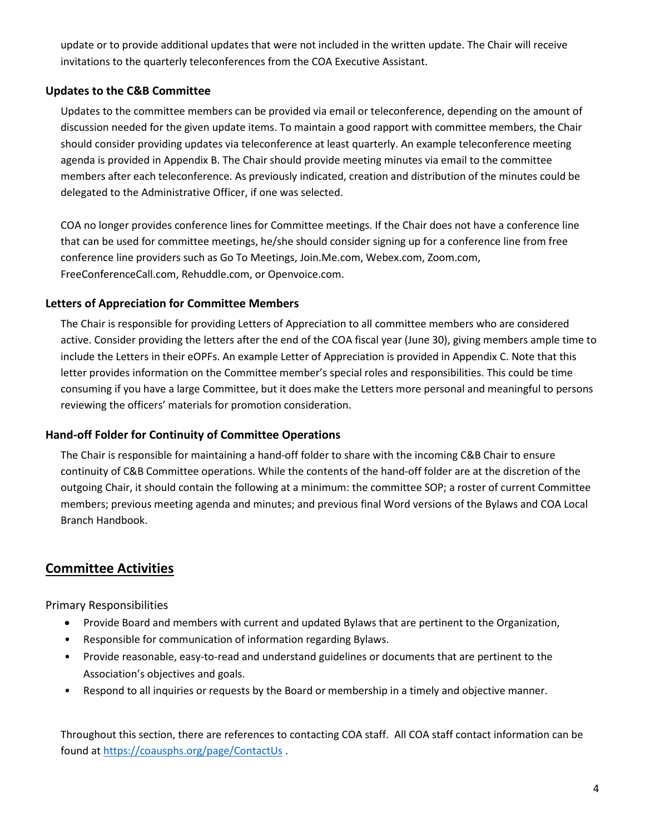update or to provide additional updates that were not included in the written update. The Chair will receive invitations to the quarterly teleconferences from the COA Executive Assistant.

## <span id="page-3-0"></span>**Updates to the C&B Committee**

Updates to the committee members can be provided via email or teleconference, depending on the amount of discussion needed for the given update items. To maintain a good rapport with committee members, the Chair should consider providing updates via teleconference at least quarterly. An example teleconference meeting agenda is provided in Appendix B. The Chair should provide meeting minutes via email to the committee members after each teleconference. As previously indicated, creation and distribution of the minutes could be delegated to the Administrative Officer, if one was selected.

COA no longer provides conference lines for Committee meetings. If the Chair does not have a conference line that can be used for committee meetings, he/she should consider signing up for a conference line from free conference line providers such as Go To Meetings, Join.Me.com, Webex.com, Zoom.com, FreeConferenceCall.com, Rehuddle.com, or Openvoice.com.

## <span id="page-3-1"></span>**Letters of Appreciation for Committee Members**

The Chair is responsible for providing Letters of Appreciation to all committee members who are considered active. Consider providing the letters after the end of the COA fiscal year (June 30), giving members ample time to include the Letters in their eOPFs. An example Letter of Appreciation is provided in Appendix C. Note that this letter provides information on the Committee member's special roles and responsibilities. This could be time consuming if you have a large Committee, but it does make the Letters more personal and meaningful to persons reviewing the officers' materials for promotion consideration.

## <span id="page-3-2"></span>**Hand-off Folder for Continuity of Committee Operations**

The Chair is responsible for maintaining a hand-off folder to share with the incoming C&B Chair to ensure continuity of C&B Committee operations. While the contents of the hand-off folder are at the discretion of the outgoing Chair, it should contain the following at a minimum: the committee SOP; a roster of current Committee members; previous meeting agenda and minutes; and previous final Word versions of the Bylaws and COA Local Branch Handbook.

## <span id="page-3-3"></span>**Committee Activities**

Primary Responsibilities

- Provide Board and members with current and updated Bylaws that are pertinent to the Organization,
- Responsible for communication of information regarding Bylaws.
- Provide reasonable, easy-to-read and understand guidelines or documents that are pertinent to the Association's objectives and goals.
- Respond to all inquiries or requests by the Board or membership in a timely and objective manner.

Throughout this section, there are references to contacting COA staff. All COA staff contact information can be found at <https://coausphs.org/page/ContactUs>.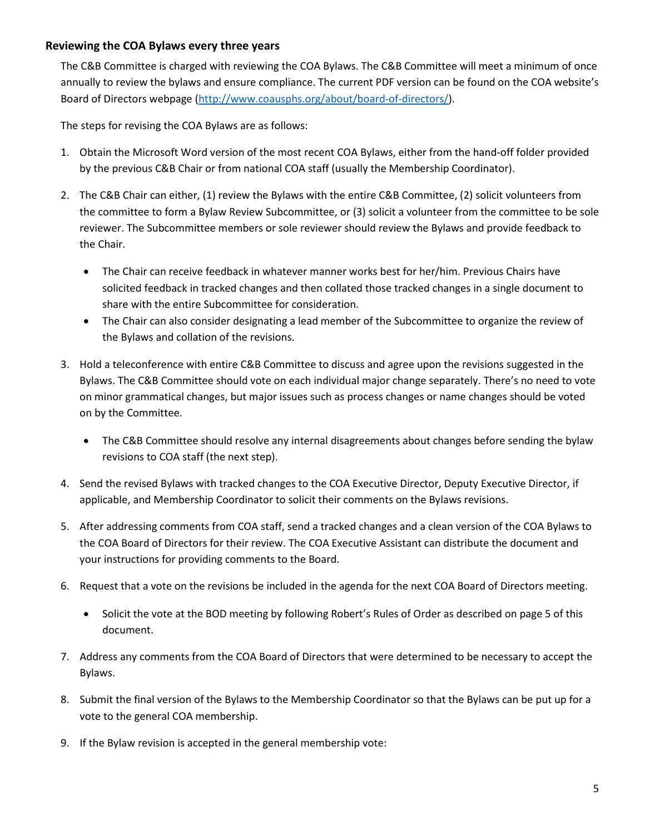## <span id="page-4-0"></span>**Reviewing the COA Bylaws every three years**

The C&B Committee is charged with reviewing the COA Bylaws. The C&B Committee will meet a minimum of once annually to review the bylaws and ensure compliance. The current PDF version can be found on the COA website's Board of Directors webpage [\(http://www.coausphs.org/about/board-of-directors/\)](http://www.coausphs.org/about/board-of-directors/).

The steps for revising the COA Bylaws are as follows:

- 1. Obtain the Microsoft Word version of the most recent COA Bylaws, either from the hand-off folder provided by the previous C&B Chair or from national COA staff (usually the Membership Coordinator).
- 2. The C&B Chair can either, (1) review the Bylaws with the entire C&B Committee, (2) solicit volunteers from the committee to form a Bylaw Review Subcommittee, or (3) solicit a volunteer from the committee to be sole reviewer. The Subcommittee members or sole reviewer should review the Bylaws and provide feedback to the Chair.
	- The Chair can receive feedback in whatever manner works best for her/him. Previous Chairs have solicited feedback in tracked changes and then collated those tracked changes in a single document to share with the entire Subcommittee for consideration.
	- The Chair can also consider designating a lead member of the Subcommittee to organize the review of the Bylaws and collation of the revisions.
- 3. Hold a teleconference with entire C&B Committee to discuss and agree upon the revisions suggested in the Bylaws. The C&B Committee should vote on each individual major change separately. There's no need to vote on minor grammatical changes, but major issues such as process changes or name changes should be voted on by the Committee.
	- The C&B Committee should resolve any internal disagreements about changes before sending the bylaw revisions to COA staff (the next step).
- 4. Send the revised Bylaws with tracked changes to the COA Executive Director, Deputy Executive Director, if applicable, and Membership Coordinator to solicit their comments on the Bylaws revisions.
- 5. After addressing comments from COA staff, send a tracked changes and a clean version of the COA Bylaws to the COA Board of Directors for their review. The COA Executive Assistant can distribute the document and your instructions for providing comments to the Board.
- 6. Request that a vote on the revisions be included in the agenda for the next COA Board of Directors meeting.
	- Solicit the vote at the BOD meeting by following Robert's Rules of Order as described on page 5 of this document.
- 7. Address any comments from the COA Board of Directors that were determined to be necessary to accept the Bylaws.
- 8. Submit the final version of the Bylaws to the Membership Coordinator so that the Bylaws can be put up for a vote to the general COA membership.
- 9. If the Bylaw revision is accepted in the general membership vote: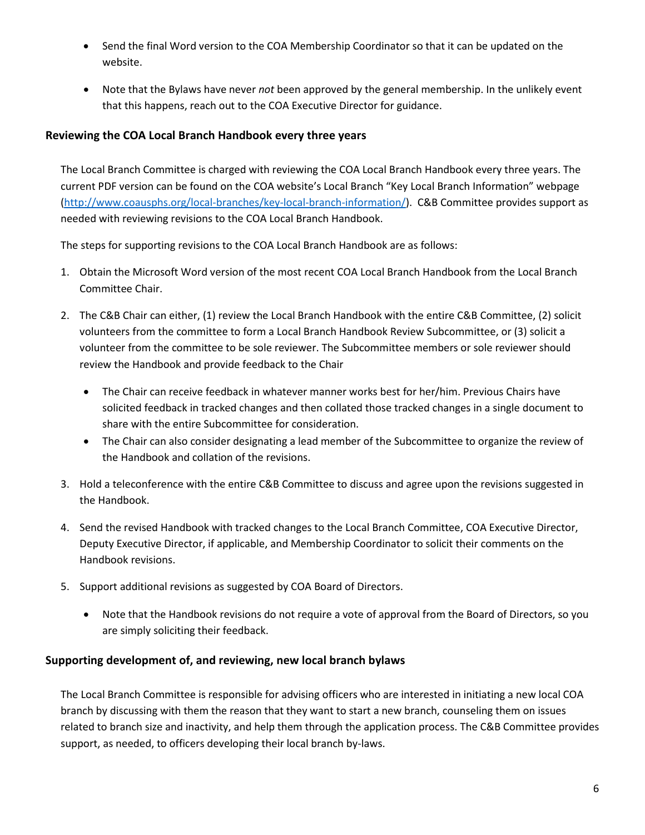- Send the final Word version to the COA Membership Coordinator so that it can be updated on the website.
- Note that the Bylaws have never *not* been approved by the general membership. In the unlikely event that this happens, reach out to the COA Executive Director for guidance.

## <span id="page-5-0"></span>**Reviewing the COA Local Branch Handbook every three years**

The Local Branch Committee is charged with reviewing the COA Local Branch Handbook every three years. The current PDF version can be found on the COA website's Local Branch "Key Local Branch Information" webpage [\(http://www.coausphs.org/local-branches/key-local-branch-information/\)](http://www.coausphs.org/local-branches/key-local-branch-information/). C&B Committee provides support as needed with reviewing revisions to the COA Local Branch Handbook.

The steps for supporting revisions to the COA Local Branch Handbook are as follows:

- 1. Obtain the Microsoft Word version of the most recent COA Local Branch Handbook from the Local Branch Committee Chair.
- 2. The C&B Chair can either, (1) review the Local Branch Handbook with the entire C&B Committee, (2) solicit volunteers from the committee to form a Local Branch Handbook Review Subcommittee, or (3) solicit a volunteer from the committee to be sole reviewer. The Subcommittee members or sole reviewer should review the Handbook and provide feedback to the Chair
	- The Chair can receive feedback in whatever manner works best for her/him. Previous Chairs have solicited feedback in tracked changes and then collated those tracked changes in a single document to share with the entire Subcommittee for consideration.
	- The Chair can also consider designating a lead member of the Subcommittee to organize the review of the Handbook and collation of the revisions.
- 3. Hold a teleconference with the entire C&B Committee to discuss and agree upon the revisions suggested in the Handbook.
- 4. Send the revised Handbook with tracked changes to the Local Branch Committee, COA Executive Director, Deputy Executive Director, if applicable, and Membership Coordinator to solicit their comments on the Handbook revisions.
- 5. Support additional revisions as suggested by COA Board of Directors.
	- Note that the Handbook revisions do not require a vote of approval from the Board of Directors, so you are simply soliciting their feedback.

## <span id="page-5-1"></span>**Supporting development of, and reviewing, new local branch bylaws**

The Local Branch Committee is responsible for advising officers who are interested in initiating a new local COA branch by discussing with them the reason that they want to start a new branch, counseling them on issues related to branch size and inactivity, and help them through the application process. The C&B Committee provides support, as needed, to officers developing their local branch by-laws.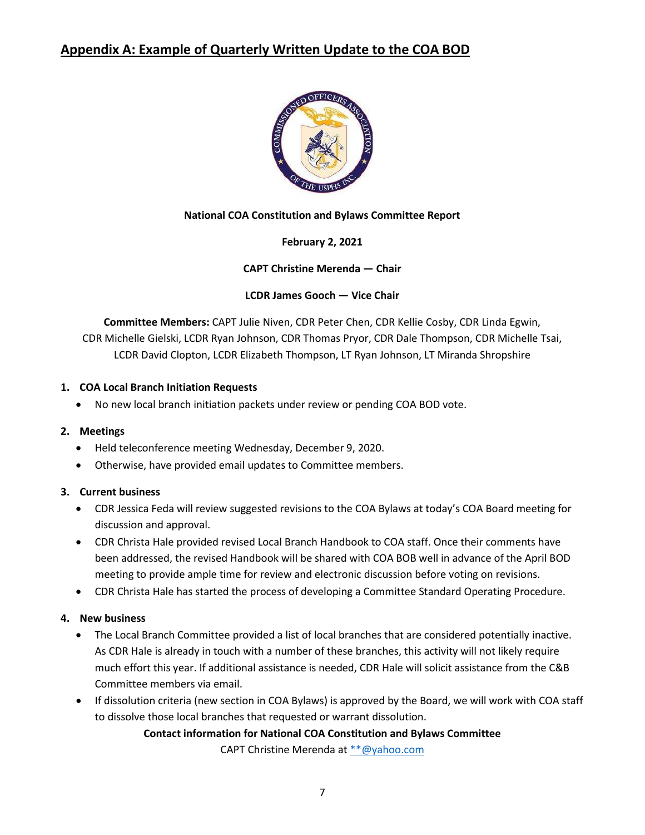## <span id="page-6-0"></span>**Appendix A: Example of Quarterly Written Update to the COA BOD**



## **National COA Constitution and Bylaws Committee Report**

**February 2, 2021**

**CAPT Christine Merenda — Chair**

**LCDR James Gooch — Vice Chair**

**Committee Members:** CAPT Julie Niven, CDR Peter Chen, CDR Kellie Cosby, CDR Linda Egwin, CDR Michelle Gielski, LCDR Ryan Johnson, CDR Thomas Pryor, CDR Dale Thompson, CDR Michelle Tsai, LCDR David Clopton, LCDR Elizabeth Thompson, LT Ryan Johnson, LT Miranda Shropshire

### **1. COA Local Branch Initiation Requests**

• No new local branch initiation packets under review or pending COA BOD vote.

#### **2. Meetings**

- Held teleconference meeting Wednesday, December 9, 2020.
- Otherwise, have provided email updates to Committee members.

#### **3. Current business**

- CDR Jessica Feda will review suggested revisions to the COA Bylaws at today's COA Board meeting for discussion and approval.
- CDR Christa Hale provided revised Local Branch Handbook to COA staff. Once their comments have been addressed, the revised Handbook will be shared with COA BOB well in advance of the April BOD meeting to provide ample time for review and electronic discussion before voting on revisions.
- CDR Christa Hale has started the process of developing a Committee Standard Operating Procedure.

## **4. New business**

- The Local Branch Committee provided a list of local branches that are considered potentially inactive. As CDR Hale is already in touch with a number of these branches, this activity will not likely require much effort this year. If additional assistance is needed, CDR Hale will solicit assistance from the C&B Committee members via email.
- If dissolution criteria (new section in COA Bylaws) is approved by the Board, we will work with COA staff to dissolve those local branches that requested or warrant dissolution.

#### **Contact information for National COA Constitution and Bylaws Committee**

CAPT Christine Merenda at [\\*\\*@yahoo.com](mailto:**@yahoo.com)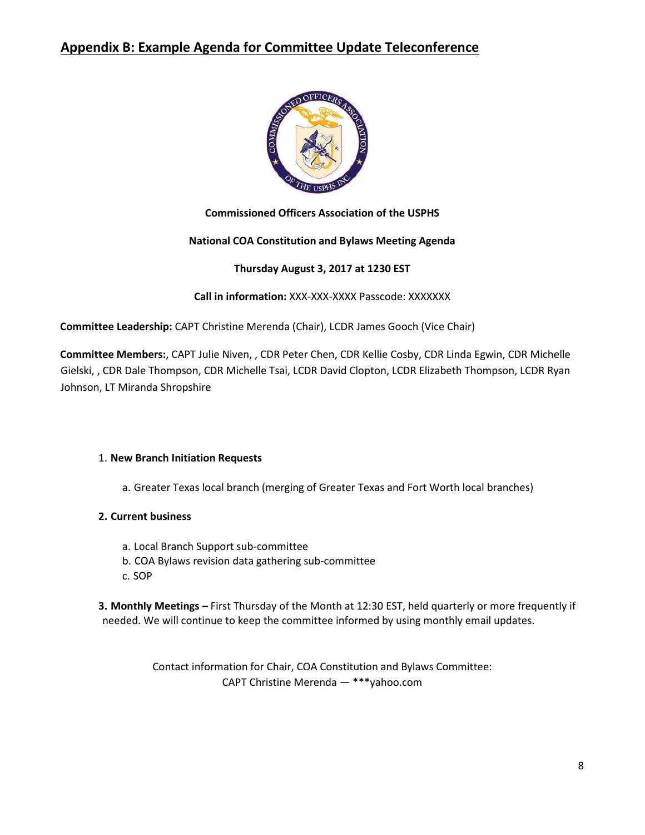## <span id="page-7-0"></span>**Appendix B: Example Agenda for Committee Update Teleconference**



## **Commissioned Officers Association of the USPHS**

## **National COA Constitution and Bylaws Meeting Agenda**

### **Thursday August 3, 2017 at 1230 EST**

**Call in information:** XXX-XXX-XXXX Passcode: XXXXXXX

**Committee Leadership:** CAPT Christine Merenda (Chair), LCDR James Gooch (Vice Chair)

**Committee Members:**, CAPT Julie Niven, , CDR Peter Chen, CDR Kellie Cosby, CDR Linda Egwin, CDR Michelle Gielski, , CDR Dale Thompson, CDR Michelle Tsai, LCDR David Clopton, LCDR Elizabeth Thompson, LCDR Ryan Johnson, LT Miranda Shropshire

#### 1. **New Branch Initiation Requests**

a. Greater Texas local branch (merging of Greater Texas and Fort Worth local branches)

## **2. Current business**

- a. Local Branch Support sub-committee
- b. COA Bylaws revision data gathering sub-committee
- c. SOP

**3. Monthly Meetings –** First Thursday of the Month at 12:30 EST, held quarterly or more frequently if needed. We will continue to keep the committee informed by using monthly email updates.

> Contact information for Chair, COA Constitution and Bylaws Committee: CAPT Christine Merenda — \*\*\*yahoo.com